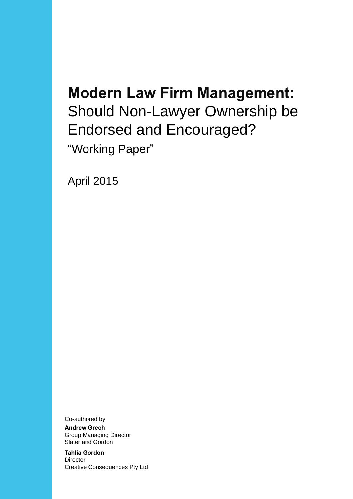# **Modern Law Firm Management:** Should Non-Lawyer Ownership be Endorsed and Encouraged? "Working Paper"

April 2015

Co-authored by

**Andrew Grech** Group Managing Director Slater and Gordon

**Tahlia Gordon Director** Creative Consequences Pty Ltd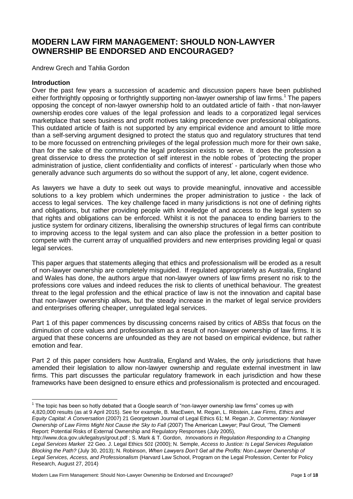# **MODERN LAW FIRM MANAGEMENT: SHOULD NON-LAWYER OWNERSHIP BE ENDORSED AND ENCOURAGED?**

Andrew Grech and Tahlia Gordon

#### **Introduction**

Over the past few years a succession of academic and discussion papers have been published either forthrightly opposing or forthrightly supporting non-lawyer ownership of law firms.<sup>1</sup> The papers opposing the concept of non-lawyer ownership hold to an outdated article of faith - that non-lawyer ownership erodes core values of the legal profession and leads to a corporatized legal services marketplace that sees business and profit motives taking precedence over professional obligations. This outdated article of faith is not supported by any empirical evidence and amount to little more than a self-serving argument designed to protect the status quo and regulatory structures that tend to be more focussed on entrenching privileges of the legal profession much more for their own sake, than for the sake of the community the legal profession exists to serve*.* It does the profession a great disservice to dress the protection of self interest in the noble robes of 'protecting the proper administration of justice, client confidentiality and conflicts of interest' - particularly when those who generally advance such arguments do so without the support of any, let alone, cogent evidence.

As lawyers we have a duty to seek out ways to provide meaningful, innovative and accessible solutions to a key problem which undermines the proper administration to justice - the lack of access to legal services. The key challenge faced in many jurisdictions is not one of defining rights and obligations, but rather providing people with knowledge of and access to the legal system so that rights and obligations can be enforced. Whilst it is not the panacea to ending barriers to the justice system for ordinary citizens, liberalising the ownership structures of legal firms can contribute to improving access to the legal system and can also place the profession in a better position to compete with the current array of unqualified providers and new enterprises providing legal or quasi legal services.

This paper argues that statements alleging that ethics and professionalism will be eroded as a result of non-lawyer ownership are completely misguided. If regulated appropriately as Australia, England and Wales has done, the authors argue that non-lawyer owners of law firms present no risk to the professions core values and indeed reduces the risk to clients of unethical behaviour. The greatest threat to the legal profession and the ethical practice of law is not the innovation and capital base that non-lawyer ownership allows, but the steady increase in the market of legal service providers and enterprises offering cheaper, unregulated legal services.

Part 1 of this paper commences by discussing concerns raised by critics of ABSs that focus on the diminution of core values and professionalism as a result of non-lawyer ownership of law firms. It is argued that these concerns are unfounded as they are not based on empirical evidence, but rather emotion and fear.

Part 2 of this paper considers how Australia, England and Wales, the only jurisdictions that have amended their legislation to allow non-lawyer ownership and regulate external investment in law firms. This part discusses the particular regulatory framework in each jurisdiction and how these frameworks have been designed to ensure ethics and professionalism is protected and encouraged.

Modern Law Firm Management: Should Non-Lawyer Ownership be Endorsed and Encouraged? Page 1 of 18

The topic has been so hotly debated that a Google search of "non-lawyer ownership law firms" comes up with <sup>1</sup> The topic has been so hotly debated that a Google search of "non-lawyer ownership law firms" comes up with

<sup>4,820,000</sup> results (as at 9 April 2015). See for example, B. MacEwen, M. Regan, L. Ribstein, *Law Firms, Ethics and Equity Capital: A Conversation* (2007) 21 Georgetown Journal of Legal Ethics 61; M. Regan Jr, *Commentary: Nonlawyer Ownership of Law Firms Might Not Cause the Sky to Fall* (2007) The American Lawyer; Paul Grout, 'The Clementi Report: Potential Risks of External Ownership and Regulatory Responses (July 2005),

http://www.dca.gov.uk/legalsys/grout.pdf ; S. Mark & T. Gordon, *Innovations in Regulation Responding to a Changing Legal Services Market* 22 Geo. J. Legal Ethics *501* (2000); N. Semple, *Access to Justice: Is Legal Services Regulation Blocking the Path?* (July 30, 2013); N. Robinson, *When Lawyers Don't Get all the Profits: Non*‐*Lawyer Ownership of Legal Services, Access, and Professionalism* (Harvard Law School, Program on the Legal Profession, Center for Policy Research, August 27, 2014)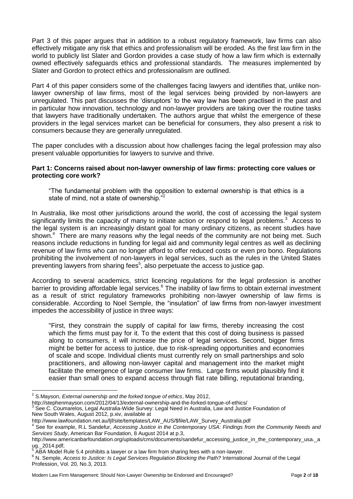Part 3 of this paper argues that in addition to a robust regulatory framework, law firms can also effectively mitigate any risk that ethics and professionalism will be eroded. As the first law firm in the world to publicly list Slater and Gordon provides a case study of how a law firm which is externally owned effectively safeguards ethics and professional standards. The measures implemented by Slater and Gordon to protect ethics and professionalism are outlined.

Part 4 of this paper considers some of the challenges facing lawyers and identifies that, unlike nonlawyer ownership of law firms, most of the legal services being provided by non-lawyers are unregulated. This part discusses the 'disruptors' to the way law has been practised in the past and in particular how innovation, technology and non-lawyer providers are taking over the routine tasks that lawyers have traditionally undertaken. The authors argue that whilst the emergence of these providers in the legal services market can be beneficial for consumers, they also present a risk to consumers because they are generally unregulated.

The paper concludes with a discussion about how challenges facing the legal profession may also present valuable opportunities for lawyers to survive and thrive.

#### **Part 1: Concerns raised about non-lawyer ownership of law firms: protecting core values or protecting core work?**

"The fundamental problem with the opposition to external ownership is that ethics is a state of mind, not a state of ownership."<sup>2</sup>

In Australia, like most other jurisdictions around the world, the cost of accessing the legal system significantly limits the capacity of many to initiate action or respond to legal problems.<sup>3</sup> Access to the legal system is an increasingly distant goal for many ordinary citizens, as recent studies have shown.<sup>4</sup> There are many reasons why the legal needs of the community are not being met. Such reasons include reductions in funding for legal aid and community legal centres as well as declining revenue of law firms who can no longer afford to offer reduced costs or even pro bono. Regulations prohibiting the involvement of non-lawyers in legal services, such as the rules in the United States preventing lawyers from sharing fees<sup>5</sup>, also perpetuate the access to justice gap.

According to several academics, strict licencing regulations for the legal profession is another barrier to providing affordable legal services.<sup>6</sup> The inability of law firms to obtain external investment as a result of strict regulatory frameworks prohibiting non-lawyer ownership of law firms is considerable. According to Noel Semple, the "insulation" of law firms from non-lawyer investment impedes the accessibility of justice in three ways:

"First, they constrain the supply of capital for law firms, thereby increasing the cost which the firms must pay for it. To the extent that this cost of doing business is passed along to consumers, it will increase the price of legal services. Second, bigger firms might be better for access to justice, due to risk-spreading opportunities and economies of scale and scope. Individual clients must currently rely on small partnerships and solo practitioners, and allowing non-lawyer capital and management into the market might facilitate the emergence of large consumer law firms. Large firms would plausibly find it easier than small ones to expand access through flat rate billing, reputational branding,

See C. Coumarelos, Legal Australia-Wide Survey: Legal Need in Australia, Law and Justice Foundation of New South Wales, August 2012, p.xiv, available at

 2 S.Mayson, *External ownership and the forked tongue of ethics*, May 2012,

http://stephenmayson.com/2012/04/13/external-ownership-and-the-forked-tongue-of-ethics/<br>3 See G. Courageles, Legal Australia Wide Survey Lagel Naed in Australia Law and Justic

http://www.lawfoundation.net.au/ljf/site/templates/LAW\_AUS/\$file/LAW\_Survey\_Australia.pdf

<sup>4</sup> See for example, R.L Sandefur, *Accessing Justice in the Contemporary USA: Findings from the Community Needs and Services Study*, American Bar Foundation, 8 August 2014 at p.3,

http://www.americanbarfoundation.org/uploads/cms/documents/sandefur\_accessing\_justice\_in\_the\_contemporary\_usa.\_a ug.\_2014.pdf;

<sup>5</sup> ABA Model Rule 5.4 prohibits a lawyer or a law firm from sharing fees with a non-lawyer.

<sup>6</sup> N. Semple, *Access to Justice: Is Legal Services Regulation Blocking the Path?* International Journal of the Legal Profession, Vol. 20, No.3, 2013.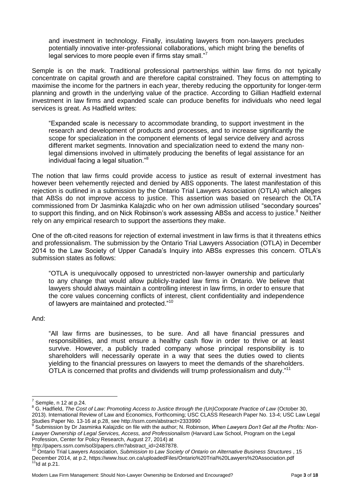and investment in technology. Finally, insulating lawyers from non-lawyers precludes potentially innovative inter-professional collaborations, which might bring the benefits of legal services to more people even if firms stay small."<sup>7</sup>

Semple is on the mark. Traditional professional partnerships within law firms do not typically concentrate on capital growth and are therefore capital constrained. They focus on attempting to maximise the income for the partners in each year, thereby reducing the opportunity for longer-term planning and growth in the underlying value of the practice. According to Gillian Hadfield external investment in law firms and expanded scale can produce benefits for individuals who need legal services is great. As Hadfield writes:

"Expanded scale is necessary to accommodate branding, to support investment in the research and development of products and processes, and to increase significantly the scope for specialization in the component elements of legal service delivery and across different market segments. Innovation and specialization need to extend the many nonlegal dimensions involved in ultimately producing the benefits of legal assistance for an individual facing a legal situation."<sup>8</sup>

The notion that law firms could provide access to justice as result of external investment has however been vehemently rejected and denied by ABS opponents. The latest manifestation of this rejection is outlined in a submission by the Ontario Trial Lawyers Association (OTLA) which alleges that ABSs do not improve access to justice. This assertion was based on research the OLTA commissioned from Dr Jasminka Kalajzdic who on her own admission utilised "secondary sources" to support this finding, and on Nick Robinson's work assessing ABSs and access to justice.<sup>9</sup> Neither rely on any empirical research to support the assertions they make.

One of the oft-cited reasons for rejection of external investment in law firms is that it threatens ethics and professionalism. The submission by the Ontario Trial Lawyers Association (OTLA) in December 2014 to the Law Society of Upper Canada's Inquiry into ABSs expresses this concern. OTLA's submission states as follows:

"OTLA is unequivocally opposed to unrestricted non‐lawyer ownership and particularly to any change that would allow publicly‐traded law firms in Ontario. We believe that lawyers should always maintain a controlling interest in law firms, in order to ensure that the core values concerning conflicts of interest, client confidentiality and independence of lawyers are maintained and protected."<sup>10</sup>

And:

"All law firms are businesses, to be sure. And all have financial pressures and responsibilities, and must ensure a healthy cash flow in order to thrive or at least survive. However, a publicly traded company whose principal responsibility is to shareholders will necessarily operate in a way that sees the duties owed to clients yielding to the financial pressures on lawyers to meet the demands of the shareholders. OTLA is concerned that profits and dividends will trump professionalism and duty."<sup>11</sup>

http://papers.ssrn.com/sol3/papers.cfm?abstract\_id=2487878.

 $\frac{7}{1}$ Semple, n 12 at p.24.

<sup>8</sup> G. Hadfield, *The Cost of Law: Promoting Access to Justice through the (Un)Corporate Practice of Law* (October 30, 2013). International Review of Law and Economics, Forthcoming; USC CLASS Research Paper No. 13-4; USC Law Legal Studies Paper No. 13-16 at p.28, see http://ssrn.com/abstract=2333990

<sup>9</sup> Submission by Dr Jasminka Kalajzdic on file with the author; N. Robinson, *When Lawyers Don't Get all the Profits: Non*‐ *Lawyer Ownership of Legal Services, Access, and Professionalism* (Harvard Law School, Program on the Legal Profession, Center for Policy Research, August 27, 2014) at

<sup>10</sup> Ontario Trial Lawyers Association, *Submission to Law Society of Ontario on Alternative Business Structures* , 15 December 2014, at p.2, https://www.lsuc.on.ca/uploadedFiles/Ontario%20Trial%20Lawyers%20Association.pdf  $11$ <sup>11</sup>ld at p.21.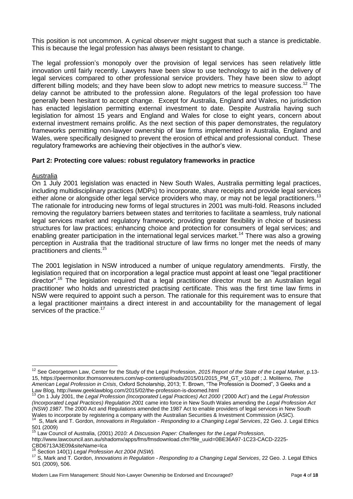This position is not uncommon. A cynical observer might suggest that such a stance is predictable. This is because the legal profession has always been resistant to change.

The legal profession's monopoly over the provision of legal services has seen relatively little innovation until fairly recently. Lawyers have been slow to use technology to aid in the delivery of legal services compared to other professional service providers. They have been slow to adopt different billing models; and they have been slow to adopt new metrics to measure success.<sup>12</sup> The delay cannot be attributed to the profession alone. Regulators of the legal profession too have generally been hesitant to accept change. Except for Australia, England and Wales, no jurisdiction has enacted legislation permitting external investment to date. Despite Australia having such legislation for almost 15 years and England and Wales for close to eight years, concern about external investment remains prolific. As the next section of this paper demonstrates, the regulatory frameworks permitting non-lawyer ownership of law firms implemented in Australia, England and Wales, were specifically designed to prevent the erosion of ethical and professional conduct. These regulatory frameworks are achieving their objectives in the author's view.

# **Part 2: Protecting core values: robust regulatory frameworks in practice**

#### Australia

 $\overline{a}$ 

On 1 July 2001 legislation was enacted in New South Wales, Australia permitting legal practices, including multidisciplinary practices (MDPs) to incorporate, share receipts and provide legal services either alone or alongside other legal service providers who may, or may not be legal practitioners.<sup>13</sup> The rationale for introducing new forms of legal structures in 2001 was multi-fold. Reasons included removing the regulatory barriers between states and territories to facilitate a seamless, truly national legal services market and regulatory framework; providing greater flexibility in choice of business structures for law practices; enhancing choice and protection for consumers of legal services; and enabling greater participation in the international legal services market.<sup>14</sup> There was also a growing perception in Australia that the traditional structure of law firms no longer met the needs of many practitioners and clients.<sup>15</sup>

The 2001 legislation in NSW introduced a number of unique regulatory amendments. Firstly, the legislation required that on incorporation a legal practice must appoint at least one "legal practitioner director".<sup>16</sup> The legislation required that a legal practitioner director must be an Australian legal practitioner who holds and unrestricted practising certificate. This was the first time law firms in NSW were required to appoint such a person. The rationale for this requirement was to ensure that a legal practitioner maintains a direct interest in and accountability for the management of legal services of the practice.<sup>17</sup>

http://www.lawcouncil.asn.au/shadomx/apps/fms/fmsdownload.cfm?file\_uuid=0BE36A97-1C23-CACD-2225- CBD6713A3E09&siteName=lca

<sup>12</sup> See Georgetown Law, Center for the Study of the Legal Profession, *2015 Report of the State of the Legal Market*, p.13- 15, https://peermonitor.thomsonreuters.com/wp-content/uploads/2015/01/2015\_PM\_GT\_v10.pdf ; J. Moliterno, *The American Legal Profession in Crisis*, Oxford Scholarship, 2013; T. Brown, "The Profession is Doomed", 3 Geeks and a Law Blog, http://www.geeklawblog.com/2015/02/the-profession-is-doomed.html

<sup>13</sup> On 1 July 2001, the *Legal Profession (Incorporated Legal Practices) Act 2000* ('2000 Act') and the *Legal Profession (Incorporated Legal Practices) Regulation 2001* came into force in New South Wales amending the *Legal Profession Act (NSW) 1987*. The 2000 Act and Regulations amended the 1987 Act to enable providers of legal services in New South Wales to incorporate by registering a company with the Australian Securities & Investment Commission (ASIC).

<sup>14</sup> S, Mark and T. Gordon, *Innovations in Regulation - Responding to a Changing Legal Services*, 22 Geo. J. Legal Ethics 501 (2009)

<sup>15</sup> Law Council of Australia, (2001) *2010: A Discussion Paper: Challenges for the Legal Profession*,

Section 140(1) *Legal Profession Act 2004 (NSW)*.

<sup>17</sup> S, Mark and T. Gordon, *Innovations in Regulation - Responding to a Changing Legal Services*, 22 Geo. J. Legal Ethics 501 (2009), 506.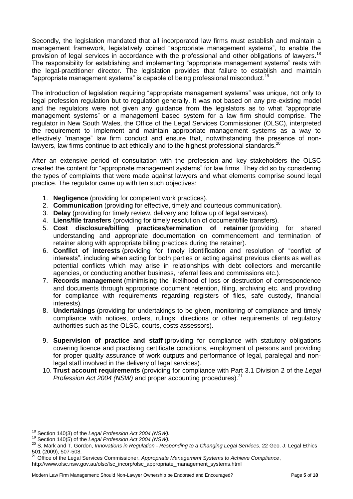Secondly, the legislation mandated that all incorporated law firms must establish and maintain a management framework, legislatively coined "appropriate management systems", to enable the provision of legal services in accordance with the professional and other obligations of lawyers.<sup>18</sup> The responsibility for establishing and implementing "appropriate management systems" rests with the legal-practitioner director. The legislation provides that failure to establish and maintain "appropriate management systems" is capable of being professional misconduct.<sup>19</sup>

The introduction of legislation requiring "appropriate management systems" was unique, not only to legal profession regulation but to regulation generally. It was not based on any pre-existing model and the regulators were not given any guidance from the legislators as to what "appropriate management systems" or a management based system for a law firm should comprise. The regulator in New South Wales, the Office of the Legal Services Commissioner (OLSC), interpreted the requirement to implement and maintain appropriate management systems as a way to effectively "manage" law firm conduct and ensure that, notwithstanding the presence of nonlawyers, law firms continue to act ethically and to the highest professional standards.<sup>20</sup>

After an extensive period of consultation with the profession and key stakeholders the OLSC created the content for "appropriate management systems" for law firms. They did so by considering the types of complaints that were made against lawyers and what elements comprise sound legal practice. The regulator came up with ten such objectives:

- 1. **Negligence** (providing for competent work practices).
- 2. **Communication** (providing for effective, timely and courteous communication).
- 3. **Delay** (providing for timely review, delivery and follow up of legal services).
- 4. **Liens/file transfers** (providing for timely resolution of document/file transfers).
- 5. **Cost disclosure/billing practices/termination of retainer** (providing for shared understanding and appropriate documentation on commencement and termination of retainer along with appropriate billing practices during the retainer).
- 6. **Conflict of interests** (providing for timely identification and resolution of "conflict of interests", including when acting for both parties or acting against previous clients as well as potential conflicts which may arise in relationships with debt collectors and mercantile agencies, or conducting another business, referral fees and commissions etc.).
- 7. **Records management** (minimising the likelihood of loss or destruction of correspondence and documents through appropriate document retention, filing, archiving etc. and providing for compliance with requirements regarding registers of files, safe custody, financial interests).
- 8. **Undertakings** (providing for undertakings to be given, monitoring of compliance and timely compliance with notices, orders, rulings, directions or other requirements of regulatory authorities such as the OLSC, courts, costs assessors).
- 9. **Supervision of practice and staff** (providing for compliance with statutory obligations covering licence and practising certificate conditions, employment of persons and providing for proper quality assurance of work outputs and performance of legal, paralegal and nonlegal staff involved in the delivery of legal services).
- 10. **Trust account requirements** (providing for compliance with Part 3.1 Division 2 of the *Legal Profession Act 2004 (NSW)* and proper accounting procedures).<sup>21</sup>

j

<sup>18</sup> Section 140(3) of the *Legal Profession Act 2004 (NSW).*

<sup>19</sup> Section 140(5) of the *Legal Profession Act 2004 (NSW).*

<sup>20</sup> S, Mark and T. Gordon, *Innovations in Regulation - Responding to a Changing Legal Services*, 22 Geo. J. Legal Ethics 501 (2009), 507-508.

<sup>21</sup> Office of the Legal Services Commissioner, *Appropriate Management Systems to Achieve Compliance*,

http://www.olsc.nsw.gov.au/olsc/lsc\_incorp/olsc\_appropriate\_management\_systems.html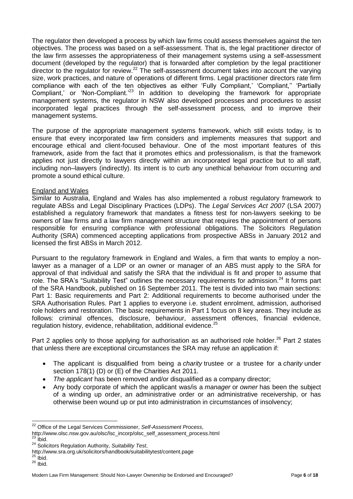The regulator then developed a process by which law firms could assess themselves against the ten objectives. The process was based on a self-assessment. That is, the legal practitioner director of the law firm assesses the appropriateness of their management systems using a self-assessment document (developed by the regulator) that is forwarded after completion by the legal practitioner director to the regulator for review.<sup>22</sup> The self-assessment document takes into account the varying size, work practices, and nature of operations of different firms. Legal practitioner directors rate firm compliance with each of the ten objectives as either 'Fully Compliant,' 'Compliant,'' 'Partially Compliant,' or 'Non-Compliant.'<sup>23</sup> In addition to developing the framework for appropriate management systems, the regulator in NSW also developed processes and procedures to assist incorporated legal practices through the self-assessment process, and to improve their management systems.

The purpose of the appropriate management systems framework, which still exists today, is to ensure that every incorporated law firm considers and implements measures that support and encourage ethical and client-focused behaviour. One of the most important features of this framework, aside from the fact that it promotes ethics and professionalism, is that the framework applies not just directly to lawyers directly within an incorporated legal practice but to all staff, including non–lawyers (indirectly). Its intent is to curb any unethical behaviour from occurring and promote a sound ethical culture.

#### England and Wales

Similar to Australia, England and Wales has also implemented a robust regulatory framework to regulate ABSs and Legal Disciplinary Practices (LDPs). The *Legal Services Act 2007* (LSA 2007) established a regulatory framework that mandates a fitness test for non-lawyers seeking to be owners of law firms and a law firm management structure that requires the appointment of persons responsible for ensuring compliance with professional obligations. The Solicitors Regulation Authority (SRA) commenced accepting applications from prospective ABSs in January 2012 and licensed the first ABSs in March 2012.

Pursuant to the regulatory framework in England and Wales, a firm that wants to employ a nonlawyer as a manager of a LDP or an owner or manager of an ABS must apply to the SRA for approval of that individual and satisfy the SRA that the individual is fit and proper to assume that role. The SRA's "Suitability Test" outlines the necessary requirements for admission.<sup>24</sup> It forms part of the SRA Handbook, published on 16 September 2011. The test is divided into two main sections: Part 1: Basic requirements and Part 2: Additional requirements to become authorised under the SRA Authorisation Rules. Part 1 applies to everyone i.e. student enrolment, admission, authorised role holders and restoration. The basic requirements in Part 1 focus on 8 key areas. They include as follows: criminal offences, disclosure, behaviour, assessment offences, financial evidence, regulation history, evidence, rehabilitation, additional evidence.<sup>25</sup>

Part 2 applies only to those applying for authorisation as an authorised role holder.<sup>26</sup> Part 2 states that unless there are exceptional circumstances the SRA may refuse an application if:

- The applicant is disqualified from being a *charity* trustee or a trustee for a *charity* under section 178(1) (D) or (E) of the Charities Act 2011.
- *The applicant* has been removed and/or disqualified as a company director;
- Any body corporate of which the applicant was/is a *manager* or *owner* has been the subject of a winding up order, an administrative order or an administrative receivership, or has otherwise been wound up or put into administration in circumstances of insolvency;

lbid.

 $\overline{a}$ <sup>22</sup> Office of the Legal Services Commissioner, *Self-Assessment Process*,

http://www.olsc.nsw.gov.au/olsc/lsc\_incorp/olsc\_self\_assessment\_process.html

<sup>24</sup> Solicitors Regulation Authority, *Suitability Test*,

http://www.sra.org.uk/solicitors/handbook/suitabilitytest/content.page

 $25$  Ibid.

 $26$  lbid.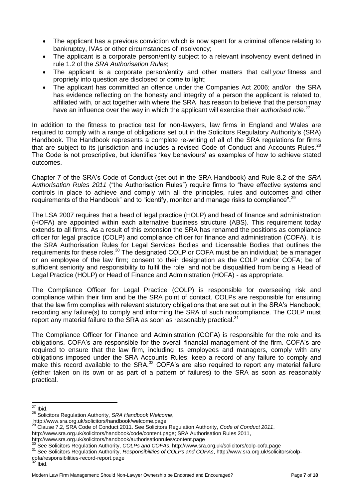- The applicant has a previous conviction which is now spent for a criminal offence relating to bankruptcy, IVAs or other circumstances of insolvency;
- The applicant is a corporate person/entity subject to a relevant insolvency event defined in rule 1.2 of the *SRA Authorisation Rules*;
- The applicant is a corporate person/entity and other matters that call *your* fitness and propriety into question are disclosed or come to light;
- The applicant has committed an offence under the Companies Act 2006; and/or the SRA has evidence reflecting on the honesty and integrity of a person the applicant is related to, affiliated with, or act together with where the SRA has reason to believe that the person may have an influence over the way in which the applicant will exercise their *authorised role*. 27

In addition to the fitness to practice test for non-lawyers, law firms in England and Wales are required to comply with a range of obligations set out in the Solicitors Regulatory Authority's (SRA) Handbook. The Handbook represents a complete re-writing of all of the SRA regulations for firms that are subject to its jurisdiction and includes a revised Code of Conduct and Accounts Rules.<sup>28</sup> The Code is not proscriptive, but identifies 'key behaviours' as examples of how to achieve stated outcomes.

Chapter 7 of the SRA's Code of Conduct (set out in the SRA Handbook) and Rule 8.2 of the *SRA Authorisation Rules 2011* ("the Authorisation Rules") require firms to "have effective systems and controls in place to achieve and comply with all the principles, rules and outcomes and other requirements of the Handbook" and to "identify, monitor and manage risks to compliance".<sup>29</sup>

The LSA 2007 requires that a head of legal practice (HOLP) and head of finance and administration (HOFA) are appointed within each alternative business structure (ABS). This requirement today extends to all firms. As a result of this extension the SRA has renamed the positions as compliance officer for legal practice (COLP) and compliance officer for finance and administration (COFA). It is the SRA Authorisation Rules for Legal Services Bodies and Licensable Bodies that outlines the requirements for these roles.<sup>30</sup> The designated COLP or COFA must be an individual; be a manager or an employee of the law firm; consent to their designation as the COLP and/or COFA; be of sufficient seniority and responsibility to fulfil the role; and not be disqualified from being a Head of Legal Practice (HOLP) or Head of Finance and Administration (HOFA) - as appropriate.

The Compliance Officer for Legal Practice (COLP) is responsible for overseeing risk and compliance within their firm and be the SRA point of contact. COLPs are responsible for ensuring that the law firm complies with relevant statutory obligations that are set out in the SRA's Handbook; recording any failure(s) to comply and informing the SRA of such noncompliance. The COLP must report any material failure to the SRA as soon as reasonably practical.<sup>31</sup>

The Compliance Officer for Finance and Administration (COFA) is responsible for the role and its obligations. COFA's are responsible for the overall financial management of the firm. COFA's are required to ensure that the law firm, including its employees and managers, comply with any obligations imposed under the SRA Accounts Rules; keep a record of any failure to comply and make this record available to the SRA. $32$  COFA's are also required to report any material failure (either taken on its own or as part of a pattern of failures) to the SRA as soon as reasonably practical.

 $\overline{a}$  $27$  Ibid.

<sup>28</sup> Solicitors Regulation Authority, *SRA Handbook Welcome*,

http://www.sra.org.uk/solicitors/handbook/welcome.page

<sup>29</sup> Clause 7.2, SRA Code of Conduct 2011. See Solicitors Regulation Authority, *Code of Conduct 2011*,

http://www.sra.org.uk/solicitors/handbook/code/content.page; SRA Authorisation Rules 2011,

http://www.sra.org.uk/solicitors/handbook/authorisationrules/content.page

<sup>30</sup> See Solicitors Regulation Authority, *COLPs and COFAs*, http://www.sra.org.uk/solicitors/colp-cofa.page

<sup>31</sup> See Solicitors Regulation Authority, *Responsibilities of COLPs and COFAs*, http://www.sra.org.uk/solicitors/colp-

cofa/responsibilities-record-report.page

 $32$  Ibid.

Modern Law Firm Management: Should Non-Lawyer Ownership be Endorsed and Encouraged? Page 7 of 18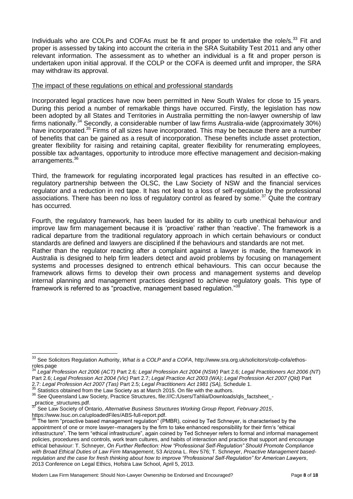Individuals who are COLPs and COFAs must be fit and proper to undertake the role/s.<sup>33</sup> Fit and proper is assessed by taking into account the criteria in the SRA Suitability Test 2011 and any other relevant information. The assessment as to whether an individual is a fit and proper person is undertaken upon initial approval. If the COLP or the COFA is deemed unfit and improper, the SRA may withdraw its approval.

#### The impact of these regulations on ethical and professional standards

Incorporated legal practices have now been permitted in New South Wales for close to 15 years. During this period a number of remarkable things have occurred. Firstly, the legislation has now been adopted by all States and Territories in Australia permitting the non-lawyer ownership of law firms nationally.<sup>34</sup> Secondly, a considerable number of law firms Australia-wide (approximately 30%) have incorporated.<sup>35</sup> Firms of all sizes have incorporated. This may be because there are a number of benefits that can be gained as a result of incorporation. These benefits include asset protection, greater flexibility for raising and retaining capital, greater flexibility for renumerating employees, possible tax advantages, opportunity to introduce more effective management and decision-making arrangements.<sup>36</sup>

Third, the framework for regulating incorporated legal practices has resulted in an effective coregulatory partnership between the OLSC, the Law Society of NSW and the financial services regulator and a reduction in red tape. It has not lead to a loss of self-regulation by the professional associations. There has been no loss of regulatory control as feared by some.<sup>37</sup> Quite the contrary has occurred.

Fourth, the regulatory framework, has been lauded for its ability to curb unethical behaviour and improve law firm management because it is 'proactive' rather than 'reactive'. The framework is a radical departure from the traditional regulatory approach in which certain behaviours or conduct standards are defined and lawyers are disciplined if the behaviours and standards are not met.

Rather than the regulator reacting after a complaint against a lawyer is made, the framework in Australia is designed to help firm leaders detect and avoid problems by focusing on management systems and processes designed to entrench ethical behaviours. This can occur because the framework allows firms to develop their own process and management systems and develop internal planning and management practices designed to achieve regulatory goals. This type of framework is referred to as "proactive, management based regulation."<sup>38</sup>

<sup>37</sup> See Law Society of Ontario, *Alternative Business Structures Working Group Report, February 2015*, https://www.lsuc.on.ca/uploadedFiles/ABS-full-report.pdf.

 $\overline{a}$ <sup>33</sup> See Solicitors Regulation Authority, *What is a COLP and a COFA*, http://www.sra.org.uk/solicitors/colp-cofa/ethosroles.page

<sup>34</sup> *Legal Profession Act 2006 (ACT)* Part 2.6*; Legal Profession Act 2004 (NSW)* Part 2.6; *Legal Practitioners Act 2006 (NT*) Part 2.6; *Legal Profession Act 2004 (Vic)* Part 2.7; *Legal Practice Act 2003 (WA)*; *Legal Profession Act 2007 (Qld)* Part 2.7: *Legal Profession Act 2007 (Tas)* Part 2.5; *Legal Practitioners Act 1981 (SA),* Schedule 1.

Statistics obtained from the Law Society as at March 2015. On file with the authors.

<sup>36</sup> See Queensland Law Society, Practice Structures, file:///C:/Users/Tahlia/Downloads/qls\_factsheet\_- \_practice\_structures.pdf.

 $38$  The term "proactive based management regulation" (PMBR), coined by Ted Schneyer, is characterised by the appointment of one or more lawyer–managers by the firm to take enhanced responsibility for their firm's "ethical infrastructure". The term "ethical infrastructure", again coined by Ted Schneyer refers to formal and informal management policies, procedures and controls, work team cultures, and habits of interaction and practice that support and encourage ethical behaviour: T. Schneyer, *On Further Reflection: How "Professional Self-Regulation" Should Promote Compliance with Broad Ethical Duties of Law Firm Management*, 53 Arizona L. Rev 576; T. Schneyer, *Proactive Management basedregulation and the case for fresh thinking about how to improve "Professional Self-Regulation" for American Lawyers*, 2013 Conference on Legal Ethics, Hofstra Law School, April 5, 2013.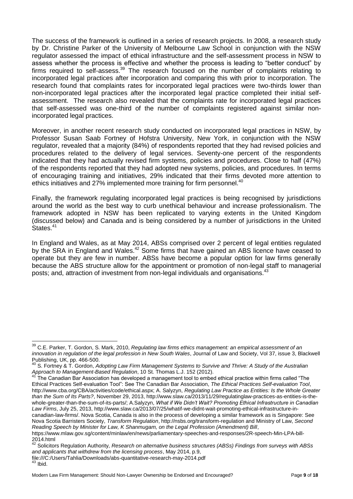The success of the framework is outlined in a series of research projects. In 2008, a research study by Dr. Christine Parker of the University of Melbourne Law School in conjunction with the NSW regulator assessed the impact of ethical infrastructure and the self-assessment process in NSW to assess whether the process is effective and whether the process is leading to "better conduct" by firms required to self-assess.<sup>39</sup> The research focused on the number of complaints relating to incorporated legal practices after incorporation and comparing this with prior to incorporation. The research found that complaints rates for incorporated legal practices were two-thirds lower than non-incorporated legal practices after the incorporated legal practice completed their initial selfassessment. The research also revealed that the complaints rate for incorporated legal practices that self-assessed was one-third of the number of complaints registered against similar nonincorporated legal practices.

Moreover, in another recent research study conducted on incorporated legal practices in NSW, by Professor Susan Saab Fortney of Hofstra University, New York, in conjunction with the NSW regulator, revealed that a majority (84%) of respondents reported that they had revised policies and procedures related to the delivery of legal services. Seventy-one percent of the respondents indicated that they had actually revised firm systems, policies and procedures. Close to half (47%) of the respondents reported that they had adopted new systems, policies, and procedures. In terms of encouraging training and initiatives, 29% indicated that their firms devoted more attention to ethics initiatives and 27% implemented more training for firm personnel.<sup>40</sup>

Finally, the framework regulating incorporated legal practices is being recognised by jurisdictions around the world as the best way to curb unethical behaviour and increase professionalism. The framework adopted in NSW has been replicated to varying extents in the United Kingdom (discussed below) and Canada and is being considered by a number of jurisdictions in the United States.<sup>41</sup>

In England and Wales, as at May 2014, ABSs comprised over 2 percent of legal entities regulated by the SRA in England and Wales.<sup>42</sup> Some firms that have gained an ABS licence have ceased to operate but they are few in number. ABSs have become a popular option for law firms generally because the ABS structure allow for the appointment or promotion of non-legal staff to managerial posts; and, attraction of investment from non-legal individuals and organisations.<sup>43</sup>

https://www.mlaw.gov.sg/content/minlaw/en/news/parliamentary-speeches-and-responses/2R-speech-Min-LPA-bill-2014.html

 $\overline{\phantom{a}}$ 

<sup>&</sup>lt;sup>39</sup> C.E. Parker, T. Gordon, S. Mark, 2010, *Regulating law firms ethics management: an empirical assessment of an innovation in regulation of the legal profession in New South Wales*, Journal of Law and Society, Vol 37, issue 3, Blackwell Publishing, UK, pp. 466-500.

<sup>40</sup> S. Fortney & T. Gordon, *Adopting Law Firm Management Systems to Survive and Thrive: A Study of the Australian Approach to Management-Based Regulation*, 10 St. Thomas L.J. 152 (2012).

<sup>&</sup>lt;sup>41</sup> The Canadian Bar Association has developed a management tool to embed ethical practice within firms called "The Ethical Practices Self-evaluation Tool": See The Canadian Bar Association, *The Ethical Practices Self-evaluation Tool*, http://www.cba.org/CBA/activities/code/ethical.aspx; A. Salyzyn, *Regulating Law Practice as Entities: Is the Whole Greater than the Sum of Its Parts?*, November 29, 2013, http://www.slaw.ca/2013/11/29/regulatinglaw-practices-as-entities-is-thewhole-greater-than-the-sum-of-its-parts/; A.Salyzyn, *What if We Didn't Wait? Promoting Ethical Infrastructure in Canadian Law Firms*, July 25, 2013, http://www.slaw.ca/2013/07/25/whatif-we-didnt-wait-promoting-ethical-infrastructure-incanadian-law-firms/. Nova Scotia, Canada is also in the process of developing a similar framework as is Singapore: See Nova Scotia Barristers Society, *Transform Regulation*, http://nsbs.org/transform-regulation and Ministry of Law, *Second Reading Speech by Minister for Law, K Shanmugam, on the Legal Profession (Amendment) Bill*,

<sup>42</sup> Solicitors Regulation Authority, *Research on alternative business structures (ABSs) Findings from surveys with ABSs and applicants that withdrew from the licensing process*, May 2014, p.9,

file:///C:/Users/Tahlia/Downloads/abs-quantitative-research-may-2014.pdf  $43$  Ibid.

Modern Law Firm Management: Should Non-Lawyer Ownership be Endorsed and Encouraged? Page 9 of 18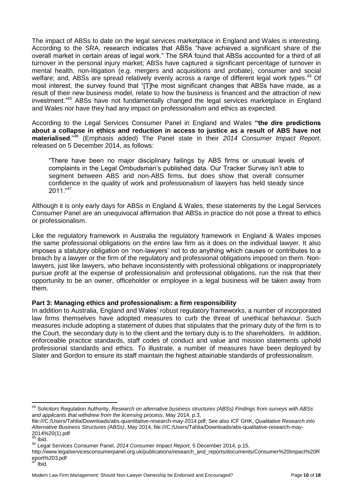The impact of ABSs to date on the legal services marketplace in England and Wales is interesting. According to the SRA, research indicates that ABSs "have achieved a significant share of the overall market in certain areas of legal work." The SRA found that ABSs accounted for a third of all turnover in the personal injury market; ABSs have captured a significant percentage of turnover in mental health, non-litigation (e.g. mergers and acquisitions and probate), consumer and social welfare; and, ABSs are spread relatively evenly across a range of different legal work types.<sup>44</sup> Of most interest, the survey found that "[T]he most significant changes that ABSs have made, as a result of their new business model, relate to how the business is financed and the attraction of new investment."<sup>45</sup> ABSs have not fundamentally changed the legal services marketplace in England and Wales nor have they had any impact on professionalism and ethics as expected.

According to the Legal Services Consumer Panel in England and Wales **"the dire predictions about a collapse in ethics and reduction in access to justice as a result of ABS have not materialised**."<sup>46</sup> (Emphasis added) The Panel state in their *2014 Consumer Impact Report*, released on 5 December 2014, as follows:

"There have been no major disciplinary failings by ABS firms or unusual levels of complaints in the Legal Ombudsman's published data. Our Tracker Survey isn't able to segment between ABS and non-ABS firms, but does show that overall consumer confidence in the quality of work and professionalism of lawyers has held steady since  $2011.^{"47}$ 

Although it is only early days for ABSs in England & Wales, these statements by the Legal Services Consumer Panel are an unequivocal affirmation that ABSs in practice do not pose a threat to ethics or professionalism.

Like the regulatory framework in Australia the regulatory framework in England & Wales imposes the same professional obligations on the entire law firm as it does on the individual lawyer. It also imposes a statutory obligation on 'non-lawyers' not to do anything which causes or contributes to a breach by a lawyer or the firm of the regulatory and professional obligations imposed on them. Nonlawyers, just like lawyers, who behave inconsistently with professional obligations or inappropriately pursue profit at the expense of professionalism and professional obligations, run the risk that their opportunity to be an owner, officeholder or employee in a legal business will be taken away from them.

# **Part 3: Managing ethics and professionalism: a firm responsibility**

In addition to Australia, England and Wales' robust regulatory frameworks, a number of incorporated law firms themselves have adopted measures to curb the threat of unethical behaviour. Such measures include adopting a statement of duties that stipulates that the primary duty of the firm is to the Court, the secondary duty is to the client and the tertiary duty is to the shareholders. In addition, enforceable practice standards, staff codes of conduct and value and mission statements uphold professional standards and ethics. To illustrate, a number of measures have been deployed by Slater and Gordon to ensure its staff maintain the highest attainable standards of professionalism.

 $\overline{a}$ 

<sup>44</sup> Solicitors Regulation Authority, *Research on alternative business structures (ABSs) Findings from surveys with ABSs and applicants that withdrew from the licensing process*, May 2014, p.3,

file:///C:/Users/Tahlia/Downloads/abs-quantitative-research-may-2014.pdf; See also ICF GHK, *Qualitative Research into Alternative Business Structures (ABSs)*, May 2014, file:///C:/Users/Tahlia/Downloads/abs-qualitative-research-may-2014%20(1).pdf

Ibid.

<sup>46</sup> Legal Services Consumer Panel, *2014 Consumer Impact Report*, 5 December 2014, p.15,

http://www.legalservicesconsumerpanel.org.uk/publications/research\_and\_reports/documents/Consumer%20Impact%20R eport%203.pdf

bid.

Modern Law Firm Management: Should Non-Lawyer Ownership be Endorsed and Encouraged? Page **10** of **18**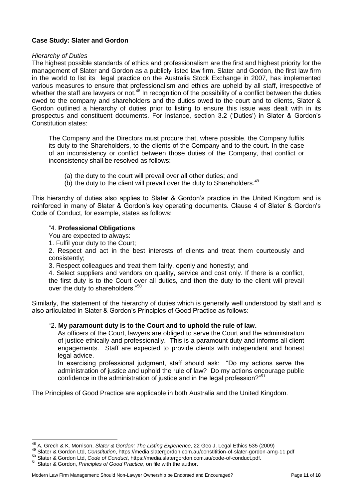# **Case Study: Slater and Gordon**

#### *Hierarchy of Duties*

The highest possible standards of ethics and professionalism are the first and highest priority for the management of Slater and Gordon as a publicly listed law firm. Slater and Gordon, the first law firm in the world to list its legal practice on the Australia Stock Exchange in 2007, has implemented various measures to ensure that professionalism and ethics are upheld by all staff, irrespective of whether the staff are lawyers or not.<sup>48</sup> In recognition of the possibility of a conflict between the duties owed to the company and shareholders and the duties owed to the court and to clients, Slater & Gordon outlined a hierarchy of duties prior to listing to ensure this issue was dealt with in its prospectus and constituent documents. For instance, section 3.2 ('Duties') in Slater & Gordon's Constitution states:

The Company and the Directors must procure that, where possible, the Company fulfils its duty to the Shareholders, to the clients of the Company and to the court. In the case of an inconsistency or conflict between those duties of the Company, that conflict or inconsistency shall be resolved as follows:

- (a) the duty to the court will prevail over all other duties; and
- (b) the duty to the client will prevail over the duty to Shareholders. $49$

This hierarchy of duties also applies to Slater & Gordon's practice in the United Kingdom and is reinforced in many of Slater & Gordon's key operating documents. Clause 4 of Slater & Gordon's Code of Conduct, for example, states as follows:

#### "4. **Professional Obligations**

You are expected to always:

1. Fulfil your duty to the Court;

2. Respect and act in the best interests of clients and treat them courteously and consistently;

3. Respect colleagues and treat them fairly, openly and honestly; and

4. Select suppliers and vendors on quality, service and cost only. If there is a conflict, the first duty is to the Court over all duties, and then the duty to the client will prevail over the duty to shareholders."<sup>50</sup>

Similarly, the statement of the hierarchy of duties which is generally well understood by staff and is also articulated in Slater & Gordon's Principles of Good Practice as follows:

# "2. **My paramount duty is to the Court and to uphold the rule of law.**

As officers of the Court, lawyers are obliged to serve the Court and the administration of justice ethically and professionally. This is a paramount duty and informs all client engagements. Staff are expected to provide clients with independent and honest legal advice.

In exercising professional judgment, staff should ask: "Do my actions serve the administration of justice and uphold the rule of law? Do my actions encourage public confidence in the administration of justice and in the legal profession?"<sup>51</sup>

The Principles of Good Practice are applicable in both Australia and the United Kingdom.

 $\overline{a}$ <sup>48</sup> A. Grech & K. Morrison, *Slater & Gordon: The Listing Experience*, 22 Geo J. Legal Ethics 535 (2009)

<sup>49</sup> Slater & Gordon Ltd, *Constitution*, https://media.slatergordon.com.au/constitition-of-slater-gordon-amg-11.pdf

<sup>50</sup> Slater & Gordon Ltd, *Code of Conduct*, https://media.slatergordon.com.au/code-of-conduct.pdf.

<sup>51</sup> Slater & Gordon, *Principles of Good Practice*, on file with the author.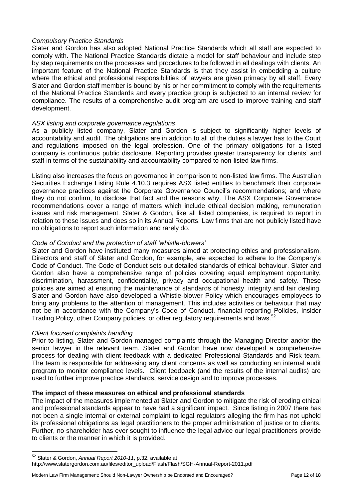# *Compulsory Practice Standards*

Slater and Gordon has also adopted National Practice Standards which all staff are expected to comply with. The National Practice Standards dictate a model for staff behaviour and include step by step requirements on the processes and procedures to be followed in all dealings with clients. An important feature of the National Practice Standards is that they assist in embedding a culture where the ethical and professional responsibilities of lawyers are given primacy by all staff. Every Slater and Gordon staff member is bound by his or her commitment to comply with the requirements of the National Practice Standards and every practice group is subjected to an internal review for compliance. The results of a comprehensive audit program are used to improve training and staff development.

# *ASX listing and corporate governance regulations*

As a publicly listed company, Slater and Gordon is subject to significantly higher levels of accountability and audit. The obligations are in addition to all of the duties a lawyer has to the Court and regulations imposed on the legal profession. One of the primary obligations for a listed company is continuous public disclosure. Reporting provides greater transparency for clients' and staff in terms of the sustainability and accountability compared to non-listed law firms.

Listing also increases the focus on governance in comparison to non-listed law firms. The Australian Securities Exchange Listing Rule 4.10.3 requires ASX listed entities to benchmark their corporate governance practices against the Corporate Governance Council's recommendations; and where they do not confirm, to disclose that fact and the reasons why. The ASX Corporate Governance recommendations cover a range of matters which include ethical decision making, remuneration issues and risk management. Slater & Gordon, like all listed companies, is required to report in relation to these issues and does so in its Annual Reports. Law firms that are not publicly listed have no obligations to report such information and rarely do.

# *Code of Conduct and the protection of staff 'whistle-blowers'*

Slater and Gordon have instituted many measures aimed at protecting ethics and professionalism. Directors and staff of Slater and Gordon, for example, are expected to adhere to the Company's Code of Conduct. The Code of Conduct sets out detailed standards of ethical behaviour. Slater and Gordon also have a comprehensive range of policies covering equal employment opportunity, discrimination, harassment, confidentiality, privacy and occupational health and safety. These policies are aimed at ensuring the maintenance of standards of honesty, integrity and fair dealing. Slater and Gordon have also developed a Whistle-blower Policy which encourages employees to bring any problems to the attention of management. This includes activities or behaviour that may not be in accordance with the Company's Code of Conduct, financial reporting Policies, Insider Trading Policy, other Company policies, or other regulatory requirements and laws.<sup>52</sup>

# *Client focused complaints handling*

 $\overline{a}$ 

Prior to listing, Slater and Gordon managed complaints through the Managing Director and/or the senior lawyer in the relevant team. Slater and Gordon have now developed a comprehensive process for dealing with client feedback with a dedicated Professional Standards and Risk team. The team is responsible for addressing any client concerns as well as conducting an internal audit program to monitor compliance levels. Client feedback (and the results of the internal audits) are used to further improve practice standards, service design and to improve processes.

# **The impact of these measures on ethical and professional standards**

The impact of the measures implemented at Slater and Gordon to mitigate the risk of eroding ethical and professional standards appear to have had a significant impact. Since listing in 2007 there has not been a single internal or external complaint to legal regulators alleging the firm has not upheld its professional obligations as legal practitioners to the proper administration of justice or to clients. Further, no shareholder has ever sought to influence the legal advice our legal practitioners provide to clients or the manner in which it is provided.

Modern Law Firm Management: Should Non-Lawyer Ownership be Endorsed and Encouraged? Page **12** of **18**

<sup>52</sup> Slater & Gordon, *Annual Report 2010-11*, p.32, available at http://www.slatergordon.com.au/files/editor\_upload/Flash/Flash/SGH-Annual-Report-2011.pdf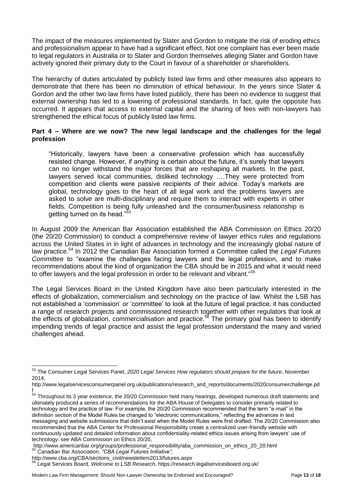The impact of the measures implemented by Slater and Gordon to mitigate the risk of eroding ethics and professionalism appear to have had a significant effect. Not one complaint has ever been made to legal regulators in Australia or to Slater and Gordon themselves alleging Slater and Gordon have actively ignored their primary duty to the Court in favour of a shareholder or shareholders.

The hierarchy of duties articulated by publicly listed law firms and other measures also appears to demonstrate that there has been no diminution of ethical behaviour. In the years since Slater & Gordon and the other two law firms have listed publicly, there has been no evidence to suggest that external ownership has led to a lowering of professional standards. In fact, quite the opposite has occurred. It appears that access to external capital and the sharing of fees with non-lawyers has strengthened the ethical focus of publicly listed law firms.

# **Part 4 – Where are we now? The new legal landscape and the challenges for the legal profession**

"Historically, lawyers have been a conservative profession which has successfully resisted change. However, if anything is certain about the future, it's surely that lawyers can no longer withstand the major forces that are reshaping all markets. In the past, lawyers served local communities, disliked technology ….They were protected from competition and clients were passive recipients of their advice. Today's markets are global, technology goes to the heart of all legal work and the problems lawyers are asked to solve are multi-disciplinary and require them to interact with experts in other fields. Competition is being fully unleashed and the consumer/business relationship is getting turned on its head."<sup>5</sup>

In August 2009 the American Bar Association established the ABA Commission on Ethics 20/20 (the 20/20 Commission) to conduct a comprehensive review of lawyer ethics rules and regulations across the United States in in light of advances in technology and the increasingly global nature of law practice. <sup>54</sup> In 2012 the Canadian Bar Association formed a Committee called the *Legal Futures Committee* to "examine the challenges facing lawyers and the legal profession, and to make recommendations about the kind of organization the CBA should be in 2015 and what it would need to offer lawyers and the legal profession in order to be relevant and vibrant."<sup>55</sup>

The Legal Services Board in the United Kingdom have also been particularly interested in the effects of globalization, commercialism and technology on the practice of law. Whilst the LSB has not established a 'commission' or 'committee' to look at the future of legal practice, it has conducted a range of research projects and commissioned research together with other regulators that look at the effects of globalization, commercialisation and practice.<sup>56</sup> The primary goal has been to identify impending trends of legal practice and assist the legal profession understand the many and varied challenges ahead.

 $\overline{a}$ 

<sup>53</sup> The Consumer Legal Services Panel, *2020 Legal Services How regulators should prepare for the future*, November 2014,

http://www.legalservicesconsumerpanel.org.uk/publications/research\_and\_reports/documents/2020consumerchallenge.pd f

<sup>&</sup>lt;sup>54</sup> Throughout its 3 year existence, the 20/20 Commission held many hearings, developed numerous draft statements and ultimately produced a series of recommendations for the ABA House of Delegates to consider primarily related to technology and the practice of law. For example, the 20/20 Commission recommended that the term "e-mail" in the definition section of the Model Rules be changed to "electronic communications," reflecting the advances in text messaging and website submissions that didn't exist when the Model Rules were first drafted. The 20/20 Commission also recommended that the ABA Center for Professional Responsibility create a centralized user-friendly website with continuously updated and detailed information about confidentiality-related ethics issues arising from lawyers' use of technology: see ABA Commission on Ethics 20/20,

http://www.americanbar.org/groups/professional\_responsibility/aba\_commission\_on\_ethics\_20\_20.html <sup>55</sup> Canadian Bar Association, *"CBA Legal Futures Initiative"*,

http://www.cba.org/CBA/sections\_civil/newsletters2013/futures.aspx

<sup>56</sup> Legal Services Board, *Welcome to LSB Research*, https://research.legalservicesboard.org.uk/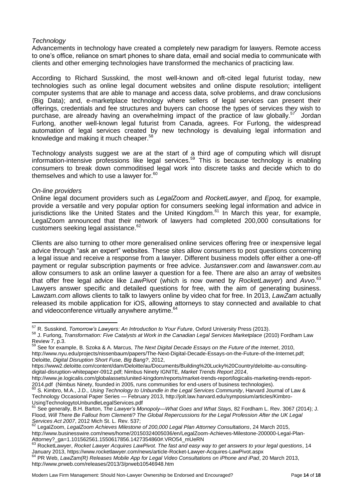# *Technology*

Advancements in technology have created a completely new paradigm for lawyers. Remote access to one's office, reliance on smart phones to share data, email and social media to communicate with clients and other emerging technologies have transformed the mechanics of practicing law.

According to Richard Susskind, the most well-known and oft-cited legal futurist today, new technologies such as online legal document websites and online dispute resolution; intelligent computer systems that are able to manage and access data, solve problems, and draw conclusions (Big Data); and, e-marketplace technology where sellers of legal services can present their offerings, credentials and fee structures and buyers can choose the types of services they wish to purchase, are already having an overwhelming impact of the practice of law globally.<sup>57</sup> Jordan Furlong, another well-known legal futurist from Canada, agrees. For Furlong, the widespread automation of legal services created by new technology is devaluing legal information and knowledge and making it much cheaper.<sup>58</sup>

Technology analysts suggest we are at the start of a third age of computing which will disrupt information-intensive professions like legal services. <sup>59</sup> This is because technology is enabling consumers to break down commoditised legal work into discrete tasks and decide which to do themselves and which to use a lawyer for.<sup>60</sup>

#### *On-line providers*

Online legal document providers such as *LegalZoom* and *RocketLawye*r, and *Epoq*, for example, provide a versatile and very popular option for consumers seeking legal information and advice in jurisdictions like the United States and the United Kingdom.<sup>61</sup> In March this year, for example, LegalZoom announced that their network of lawyers had completed 200,000 consultations for customers seeking legal assistance.<sup>62</sup>

Clients are also turning to other more generalised online services offering free or inexpensive legal advice through "ask an expert" websites. These sites allow consumers to post questions concerning a legal issue and receive a response from a lawyer. Different business models offer either a one-off payment or regular subscription payments or free advice. J*ustanswer.com* and *lawanswer.com.au* allow consumers to ask an online lawyer a question for a fee. There are also an array of websites that offer free legal advice like *LawPivot* (which is now owned by *RocketLawyer*) and *Avvo*. 63 Lawyers answer specific and detailed questions for free, with the aim of generating business. L*awzam.com* allows clients to talk to lawyers online by video chat for free. In 2013, *LawZam* actually released its mobile application for iOS, allowing attorneys to stay connected and available to chat and videoconference virtually anywhere anytime.<sup>64</sup>

 $\overline{a}$ <sup>57</sup> R. Susskind, *Tomorrow's Lawyers: An Introduction to Your Future*, Oxford University Press (2013).

<sup>58</sup> J. Furlong, *Transformation: Five Catalysts at Work in the Canadian Legal Services Marketplace* (2010) Fordham Law Review 7, p.3.

<sup>&</sup>lt;sup>9</sup> See for example, B. Szoka & A. Marcus, *The Next Digital Decade Essays on the Future of the Internet, 2010,* http://www.nyu.edu/projects/nissenbaum/papers/The-Next-Digital-Decade-Essays-on-the-Future-of-the-Internet.pdf; Deloitte, *Digital Disruption Short Fuse, Big Bang?*, 2012,

https://www2.deloitte.com/content/dam/Deloitte/au/Documents/Building%20Lucky%20Country/deloitte-au-consultingdigital-disruption-whitepaper-0912.pdf; Nimbus Ninety IGNITE, *Market Trends Report 2014*,

http://www.je.logicalis.com/globalassets/united-kingdom/reports/market-trends-report/logicalis-marketing-trends-report-2014.pdf (Nimbus Ninety, founded in 2005, runs communities for end-users of business technologies).

<sup>60</sup> S. Kimbro, M.A., J.D., *Using Technology to Unbundle in the Legal Services Community*, Harvard Journal of Law & Technology Occasional Paper Series — February 2013, http://jolt.law.harvard.edu/symposium/articles/Kimbro-UsingTechnologytoUnbundleLegalServices.pdf<br>
<sup>61</sup> Security Lines Lines 2009

<sup>61</sup> See generally, B.H. Barton*,* T*he Lawyer's Monopoly—What Goes and What Stays,* 82 Fordham L. Rev. 3067 (2014); J. Flood, *Will There Be Fallout from Clementi? The Global Repercussions for the Legal Profession After the UK Legal Services Act 2007*, 2012 Mich St. L. Rev. 537;

<sup>62</sup> LegalZoom, *LegalZoom Achieves Milestone of 200,000 Legal Plan Attorney Consultations*, 24 March 2015, http://www.businesswire.com/news/home/20150324005036/en/LegalZoom-Achieves-Milestone-200000-Legal-Plan-Attorney?\_ga=1.101562561.1550617856.1427354860#.VRO54\_mUeRN

<sup>63</sup> RocketLawyer, *Rocket Lawyer Acquires LawPivot. The fast and easy way to get answers to your legal questions*, 14 January 2013, https://www.rocketlawyer.com/news/article-Rocket-Lawyer-Acquires-LawPivot.aspx

<sup>64</sup> PR Web, *LawZam(R) Releases Mobile App for Legal Video Consultations on iPhone and iPad*, 20 March 2013, http://www.prweb.com/releases/2013/3/prweb10546948.htm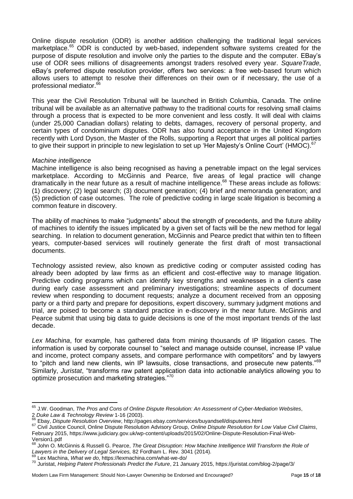Online dispute resolution (ODR) is another addition challenging the traditional legal services marketplace.<sup>65</sup> ODR is conducted by web-based, independent software systems created for the purpose of dispute resolution and involve only the parties to the dispute and the computer. EBay's use of ODR sees millions of disagreements amongst traders resolved every year. *SquareTrade*, eBay's preferred dispute resolution provider, offers two services: a free web-based forum which allows users to attempt to resolve their differences on their own or if necessary, the use of a professional mediator.<sup>66</sup>

This year the Civil Resolution Tribunal will be launched in British Columbia, Canada. The online tribunal will be available as an alternative pathway to the traditional courts for resolving small claims through a process that is expected to be more convenient and less costly. It will deal with claims (under 25,000 Canadian dollars) relating to debts, damages, recovery of personal property, and certain types of condominium disputes. ODR has also found acceptance in the United Kingdom recently with Lord Dyson, the Master of the Rolls, supporting a Report that urges all political parties to give their support in principle to new legislation to set up 'Her Majesty's Online Court' (HMOC).<sup>67</sup>

#### *Machine intelligence*

Machine intelligence is also being recognised as having a penetrable impact on the legal services marketplace. According to McGinnis and Pearce, five areas of legal practice will change dramatically in the near future as a result of machine intelligence.<sup>68</sup> These areas include as follows: (1) discovery; (2) legal search; (3) document generation; (4) brief and memoranda generation; and (5) prediction of case outcomes. The role of predictive coding in large scale litigation is becoming a common feature in discovery.

The ability of machines to make "judgments" about the strength of precedents, and the future ability of machines to identify the issues implicated by a given set of facts will be the new method for legal searching. In relation to document generation, McGinnis and Pearce predict that within ten to fifteen years, computer-based services will routinely generate the first draft of most transactional documents.

Technology assisted review, also known as predictive coding or computer assisted coding has already been adopted by law firms as an efficient and cost-effective way to manage litigation. Predictive coding programs which can identify key strengths and weaknesses in a client's case during early case assessment and preliminary investigations; streamline aspects of document review when responding to document requests; analyze a document received from an opposing party or a third party and prepare for depositions, expert discovery, summary judgment motions and trial, are poised to become a standard practice in e-discovery in the near future. McGinnis and Pearce submit that using big data to guide decisions is one of the most important trends of the last decade.

*Lex Machina*, for example, has gathered data from mining thousands of IP litigation cases. The information is used by corporate counsel to "select and manage outside counsel, increase IP value and income, protect company assets, and compare performance with competitors" and by lawyers to "pitch and land new clients, win IP lawsuits, close transactions, and prosecute new patents."<sup>69</sup> Similarly, *Juristat*, "transforms raw patent application data into actionable analytics allowing you to optimize prosecution and marketing strategies."<sup>70</sup>

 $\overline{a}$ <sup>65</sup> J.W. Goodman, *The Pros and Cons of Online Dispute Resolution: An Assessment of Cyber-Mediation Websites*, 2 *Duke Law & Technology Review* 1-16 (2003).

<sup>66</sup> Ebay, *Dispute Resolution Overview*, http://pages.ebay.com/services/buyandsell/disputeres.html

<sup>67</sup> Civil Justice Council, Online Dispute Resolution Advisory Group, *Online Dispute Resolution for Low Value Civil Claims*, February 2015, https://www.judiciary.gov.uk/wp-content/uploads/2015/02/Online-Dispute-Resolution-Final-Web-Version1.pdf

<sup>68</sup> John O. McGinnis & Russell G. Pearce, *The Great Disruption: How Machine Intelligence Will Transform the Role of Lawyers in the Delivery of Legal Services,* 82 Fordham L. Rev. 3041 (2014).

<sup>69</sup> Lex Machina, *What we do*, https://lexmachina.com/what-we-do/

<sup>70</sup> Juristat, *Helping Patent Professionals Predict the Future*, 21 January 2015, https://juristat.com/blog-2/page/3/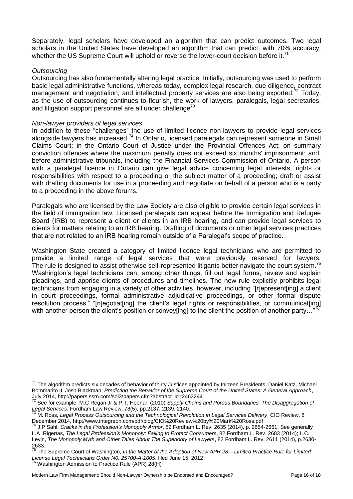Separately, legal scholars have developed an algorithm that can predict outcomes. Two legal scholars in the United States have developed an algorithm that can predict, with 70% accuracy, whether the US Supreme Court will uphold or reverse the lower-court decision before it.<sup>71</sup>

#### *Outsourcing*

 $\overline{a}$ 

Outsourcing has also fundamentally altering legal practice. Initially, outsourcing was used to perform basic legal administrative functions, whereas today, complex legal research, due diligence, contract management and negotiation, and intellectual property services are also being exported.<sup>72</sup> Today, as the use of outsourcing continues to flourish, the work of lawyers, paralegals, legal secretaries, and litigation support personnel are all under challenge<sup>73</sup>

#### *Non-lawyer providers of legal services*

In addition to these "challenges" the use of limited licence non-lawyers to provide legal services alongside lawyers has increased.<sup>74</sup> In Ontario, licensed paralegals can represent someone in Small Claims Court; in the Ontario Court of Justice under the Provincial Offences Act; on summary conviction offences where the maximum penalty does not exceed six months' imprisonment; and, before administrative tribunals, including the Financial Services Commission of Ontario. A person with a paralegal licence in Ontario can give legal advice concerning legal interests, rights or responsibilities with respect to a proceeding or the subject matter of a proceeding; draft or assist with drafting documents for use in a proceeding and negotiate on behalf of a person who is a party to a proceeding in the above forums.

Paralegals who are licensed by the Law Society are also eligible to provide certain legal services in the field of immigration law. Licensed paralegals can appear before the Immigration and Refugee Board (IRB) to represent a client or clients in an IRB hearing, and can provide legal services to clients for matters relating to an IRB hearing. Drafting of documents or other legal services practices that are not related to an IRB hearing remain outside of a Paralegal's scope of practice.

Washington State created a category of limited licence legal technicians who are permitted to provide a limited range of legal services that were previously reserved for lawyers. The rule is designed to assist otherwise self-represented litigants better navigate the court system.<sup>75</sup> Washington's legal technicians can, among other things, fill out legal forms, review and explain pleadings, and apprise clients of procedures and timelines. The new rule explicitly prohibits legal technicians from engaging in a variety of other activities, however, including "[r]epresent[ing] a client in court proceedings, formal administrative adjudicative proceedings, or other formal dispute resolution process," "[n]egotiat[ing] the client's legal rights or responsibilities, or communicat[ing] with another person the client's position or convey ingl to the client the position of another party..." 76

<sup>75</sup> The Supreme Court of Washington, *In the Matter of the Adoption of New APR 28 – Limited Practice Rule for Limited License Legal Technicians Order N0. 25700-A-1005*, filed June 15, 2012

 $76$  Washington Admission to Practice Rule (APR) 28(H)

Modern Law Firm Management: Should Non-Lawyer Ownership be Endorsed and Encouraged? Page **16** of **18**

 $^{71}$  The algorithm predicts six decades of behavior of thirty Justices appointed by thirteen Presidents: Daniel Katz, Michael Bommarito II, Josh Blackman, *Predicting the Behavior of the Supreme Court of the United States: A General Approach*, July 2014, http://papers.ssrn.com/sol3/papers.cfm?abstract\_id=2463244

<sup>72</sup> See for example, M.C Regan Jr & P.T. Heenan (2010) *Supply Chains and Porous Boundaries: The Disaggregation of Legal Services*, Fordham Law Review, 78(5), pp.2137, 2139, 2140.

<sup>73</sup> M. Ross*, Legal Process Outsourcing and the Technological Revolution in Legal Services Delivery*, CIO Review, 8 December 2014, http://www.integreon.com/pdf/blog/CIO%20Review%20by%20Mark%20Ross.pdf

<sup>74</sup> J.P Sahl, *Cracks in the Profession's Monopoly Armor*, 82 Fordham L. Rev. 2635 (2014), p. 2654-2661; See generally L.A Rigertas, *The Legal Profession's Monopoly: Failing to Protect Consumers*, 82 Fordham L. Rev. 2683 (2014); L.C. Levin, *The Monopoly Myth and Other Tales About The Superiority of Lawyers*, 82 Fordham L. Rev. 2611 (2014), p.2630- 2633.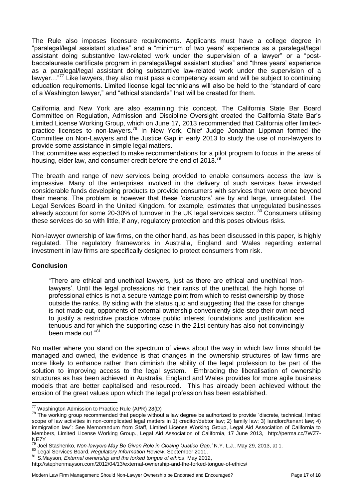The Rule also imposes licensure requirements. Applicants must have a college degree in "paralegal/legal assistant studies" and a "minimum of two years' experience as a paralegal/legal assistant doing substantive law-related work under the supervision of a lawyer" or a "postbaccalaureate certificate program in paralegal/legal assistant studies" and "three years' experience as a paralegal/legal assistant doing substantive law-related work under the supervision of a lawyer..."<sup>77</sup> Like lawyers, they also must pass a competency exam and will be subject to continuing education requirements. Limited license legal technicians will also be held to the "standard of care of a Washington lawyer," and "ethical standards" that will be created for them.

California and New York are also examining this concept. The California State Bar Board Committee on Regulation, Admission and Discipline Oversight created the California State Bar's Limited License Working Group, which on June 17, 2013 recommended that California offer limitedpractice licenses to non-lawyers.<sup>78</sup> In New York, Chief Judge Jonathan Lippman formed the Committee on Non-Lawyers and the Justice Gap in early 2013 to study the use of non-lawyers to provide some assistance in simple legal matters.

That committee was expected to make recommendations for a pilot program to focus in the areas of housing, elder law, and consumer credit before the end of 2013.<sup>79</sup>

The breath and range of new services being provided to enable consumers access the law is impressive. Many of the enterprises involved in the delivery of such services have invested considerable funds developing products to provide consumers with services that were once beyond their means. The problem is however that these 'disruptors' are by and large, unregulated. The Legal Services Board in the United Kingdom, for example, estimates that unregulated businesses already account for some 20-30% of turnover in the UK legal services sector. <sup>80</sup> Consumers utilising these services do so with little, if any, regulatory protection and this poses obvious risks.

Non-lawyer ownership of law firms, on the other hand, as has been discussed in this paper, is highly regulated. The regulatory frameworks in Australia, England and Wales regarding external investment in law firms are specifically designed to protect consumers from risk.

# **Conclusion**

 $\overline{a}$ 

"There are ethical and unethical lawyers, just as there are ethical and unethical 'nonlawyers'. Until the legal professions rid their ranks of the unethical, the high horse of professional ethics is not a secure vantage point from which to resist ownership by those outside the ranks. By siding with the status quo and suggesting that the case for change is not made out, opponents of external ownership conveniently side-step their own need to justify a restrictive practice whose public interest foundations and justification are tenuous and for which the supporting case in the 21st century has also not convincingly been made out."<sup>81</sup>

No matter where you stand on the spectrum of views about the way in which law firms should be managed and owned, the evidence is that changes in the ownership structures of law firms are more likely to enhance rather than diminish the ability of the legal profession to be part of the solution to improving access to the legal system. Embracing the liberalisation of ownership structures as has been achieved in Australia, England and Wales provides for more agile business models that are better capitalised and resourced. This has already been achieved without the erosion of the great values upon which the legal profession has been established.

<sup>&</sup>lt;sup>77</sup> Washington Admission to Practice Rule (APR) 28(D)

 $78$  The working group recommended that people without a law degree be authorized to provide "discrete, technical, limited scope of law activities in non-complicated legal matters in 1) creditor/debtor law; 2) family law; 3) landlord/tenant law; 4) immigration law": See Memorandum from Staff, Limited License Working Group, Legal Aid Association of California to Members, Limited License Working Group., Legal Aid Association of California, 17 June 2013, http://perma.cc/7WZ7- NE7Y

<sup>79</sup> Joel Stashenko, *Non-lawyers May Be Given Role in Closing 'Justice Gap,'* N.Y. L.J., May 29, 2013, at 1.

<sup>80</sup> Legal Services Board, *Regulatory Information Review*, September 2011.

<sup>81</sup> S.Mayson, *External ownership and the forked tongue of ethics*, May 2012,

http://stephenmayson.com/2012/04/13/external-ownership-and-the-forked-tongue-of-ethics/